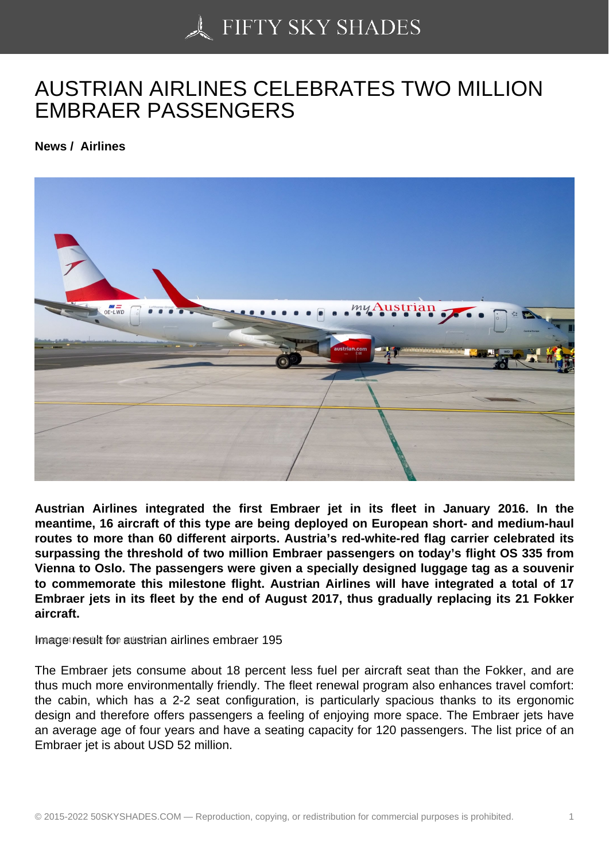## [AUSTRIAN AIRLINES](https://50skyshades.com) CELEBRATES TWO MILLION EMBRAER PASSENGERS

News / Airlines

Austrian Airlines integrated the first Embraer jet in its fleet in January 2016. In the meantime, 16 aircraft of this type are being deployed on European short- and medium-haul routes to more than 60 different airports. Austria's red-white-red flag carrier celebrated its surpassing the threshold of two million Embraer passengers on today's flight OS 335 from Vienna to Oslo. The passengers were given a specially designed luggage tag as a souvenir to commemorate this milestone flight. Austrian Airlines will have integrated a total of 17 Embraer jets in its fleet by the end of August 2017, thus gradually replacing its 21 Fokker aircraft.

Image result for austrian airlines embraer 195

The Embraer jets consume about 18 percent less fuel per aircraft seat than the Fokker, and are thus much more environmentally friendly. The fleet renewal program also enhances travel comfort: the cabin, which has a 2-2 seat configuration, is particularly spacious thanks to its ergonomic design and therefore offers passengers a feeling of enjoying more space. The Embraer jets have an average age of four years and have a seating capacity for 120 passengers. The list price of an Embraer jet is about USD 52 million.